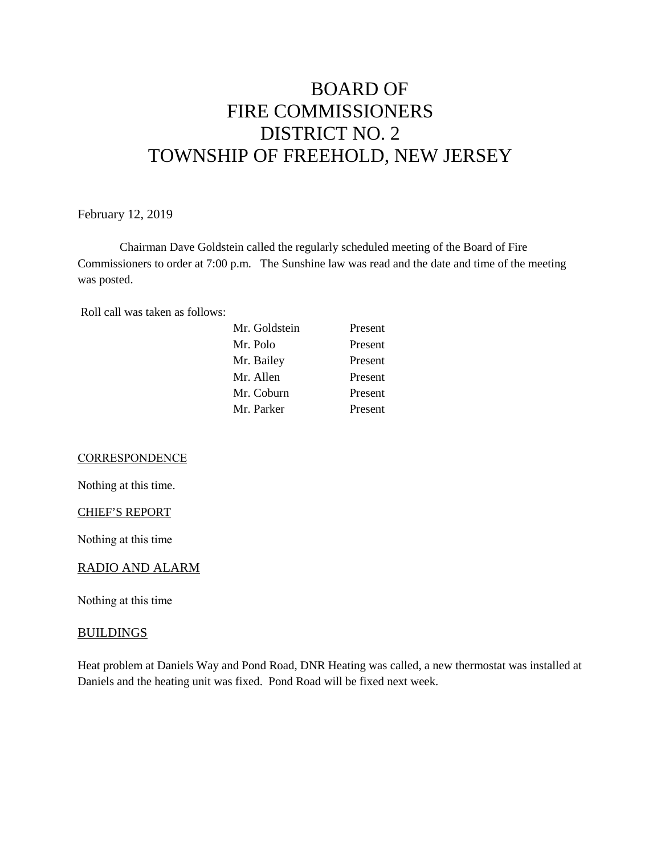# BOARD OF FIRE COMMISSIONERS DISTRICT NO. 2 TOWNSHIP OF FREEHOLD, NEW JERSEY

February 12, 2019

Chairman Dave Goldstein called the regularly scheduled meeting of the Board of Fire Commissioners to order at 7:00 p.m. The Sunshine law was read and the date and time of the meeting was posted.

Roll call was taken as follows:

| Mr. Goldstein | Present |
|---------------|---------|
| Mr. Polo      | Present |
| Mr. Bailey    | Present |
| Mr. Allen     | Present |
| Mr. Coburn    | Present |
| Mr. Parker    | Present |

**CORRESPONDENCE** 

Nothing at this time.

CHIEF'S REPORT

Nothing at this time

#### RADIO AND ALARM

Nothing at this time

#### **BUILDINGS**

Heat problem at Daniels Way and Pond Road, DNR Heating was called, a new thermostat was installed at Daniels and the heating unit was fixed. Pond Road will be fixed next week.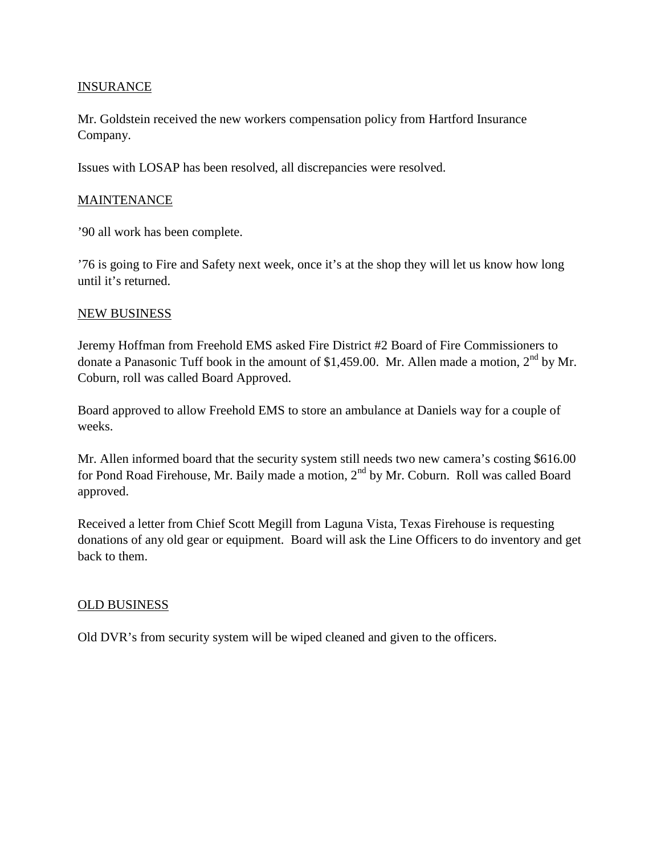## **INSURANCE**

Mr. Goldstein received the new workers compensation policy from Hartford Insurance Company.

Issues with LOSAP has been resolved, all discrepancies were resolved.

### **MAINTENANCE**

'90 all work has been complete.

'76 is going to Fire and Safety next week, once it's at the shop they will let us know how long until it's returned.

#### NEW BUSINESS

Jeremy Hoffman from Freehold EMS asked Fire District #2 Board of Fire Commissioners to donate a Panasonic Tuff book in the amount of \$1,459.00. Mr. Allen made a motion,  $2<sup>nd</sup>$  by Mr. Coburn, roll was called Board Approved.

Board approved to allow Freehold EMS to store an ambulance at Daniels way for a couple of weeks.

Mr. Allen informed board that the security system still needs two new camera's costing \$616.00 for Pond Road Firehouse, Mr. Baily made a motion,  $2<sup>nd</sup>$  by Mr. Coburn. Roll was called Board approved.

Received a letter from Chief Scott Megill from Laguna Vista, Texas Firehouse is requesting donations of any old gear or equipment. Board will ask the Line Officers to do inventory and get back to them.

### OLD BUSINESS

Old DVR's from security system will be wiped cleaned and given to the officers.